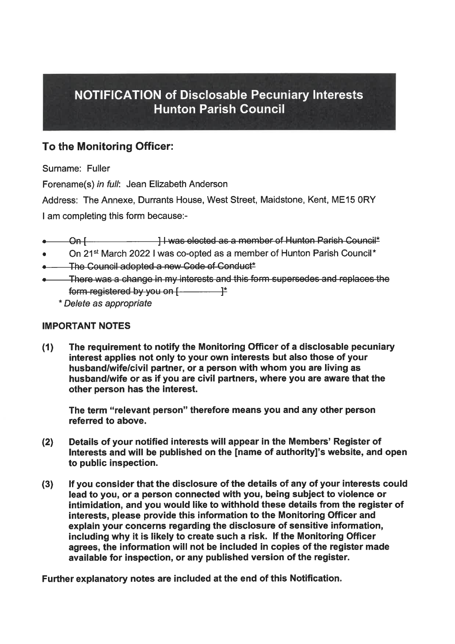# NOTIFICATION <sup>o</sup><sup>f</sup> Disclosable Pecuniary Interests Hunton Parish Council

## To the Monitoring Officer:

Surname: Fuller

Forename(s) <sup>i</sup><sup>n</sup> <sup>f</sup>ull: Jean Elizabeth Anderson

Address: The Annexe, Durrants House, West Street, Maidstone, Kent, ME15 ORY <sup>|</sup> am completing this form because:-

- On I letter the University of Hunton Parish Council<sup>\*</sup>
- On 21<sup>st</sup> March 2022 I was co-opted as a member of Hunton Parish Council<sup>\*</sup>
- The Council adopted a new Code of Conduct\*
- There was a change in my interests and this form supersedes and replaces the
	- \* Delete as appropriate

### IMPORTANT NOTES

(1) The requirement <sup>t</sup><sup>o</sup> notify the Monitoring Officer <sup>o</sup><sup>f</sup> <sup>a</sup> disclosable pecuniary interest applies not only <sup>t</sup><sup>o</sup> your own interests but also those <sup>o</sup><sup>f</sup> your husband/wife/civil partner, <sup>o</sup><sup>r</sup> <sup>a</sup> person <sup>w</sup>it<sup>h</sup> whom you <sup>a</sup>r<sup>e</sup> <sup>l</sup>ivin<sup>g</sup> <sup>a</sup><sup>s</sup> husband/wife <sup>o</sup><sup>r</sup> as <sup>i</sup><sup>f</sup> you are <sup>c</sup>ivi<sup>l</sup> partners, where you are aware that the other person has the interest.

The term "relevant person" therefore means you and any other person referred <sup>t</sup><sup>o</sup> above.

- (2) Details <sup>o</sup><sup>f</sup> your notified interests <sup>w</sup>ill appear <sup>i</sup><sup>n</sup> the Members' Register <sup>o</sup><sup>f</sup> Interests and <sup>w</sup>ill be published on the [name <sup>o</sup><sup>f</sup> authority]'s website, and open <sup>t</sup><sup>o</sup> public inspection.
- or a proposition of the magneton of the and proposition of the method interest applies not only to your out interest applies in the mushand/wife or as if you are civil other person has the interest.<br>The term "relevant pers \* Delete as appropriate<br>
11 The requirement to notify the Mon<br>
interest applies not only to your o<br>
interest applies not only to your o<br>
husband/wife/civil partner, or a pe<br>
husband/wife or as if you are civil<br>
other perso (3) Ifyou consider that the disclosure <sup>o</sup><sup>f</sup> the details <sup>o</sup><sup>f</sup> any <sup>o</sup><sup>f</sup> your interests could lead <sup>t</sup><sup>o</sup> you, <sup>o</sup><sup>r</sup> <sup>a</sup> person connected with you, being subject <sup>t</sup><sup>o</sup> violence <sup>o</sup><sup>r</sup> intimidation, and you would <sup>l</sup>ik<sup>e</sup> <sup>t</sup><sup>o</sup> withhold these details from the register <sup>o</sup><sup>f</sup> interests, please provide this information <sup>t</sup><sup>o</sup> the Monitoring Officer and explain your concerns regarding the disclosure <sup>o</sup><sup>f</sup> sensitive information, including why <sup>i</sup><sup>t</sup> <sup>i</sup><sup>s</sup> likely <sup>t</sup><sup>o</sup> create such <sup>a</sup> <sup>r</sup>isk. <sup>I</sup><sup>f</sup> the Monitoring Officer agrees, the information <sup>w</sup>ill not <sup>b</sup><sup>e</sup> included <sup>i</sup><sup>n</sup> copies <sup>o</sup><sup>f</sup> the register made available for inspection, or any published version <sup>o</sup><sup>f</sup> the register.

Further explanatory notes are included at the end of this Notification.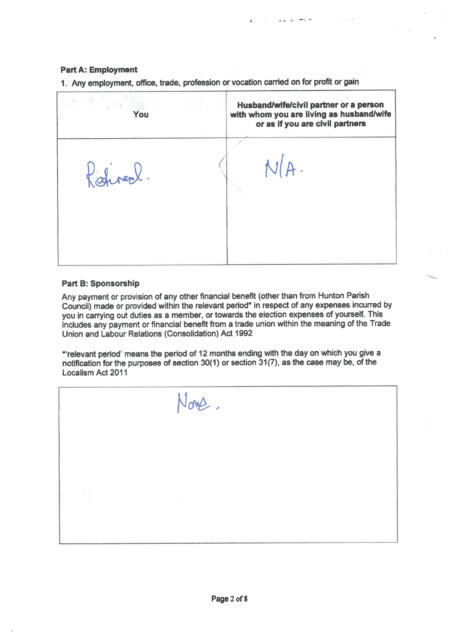#### Part <sup>A</sup>: Employment

<sup>|</sup> Husband/wife/civil partner or <sup>a</sup> person You <sup>w</sup>it<sup>h</sup> whom you <sup>a</sup>r<sup>e</sup> <sup>l</sup>ivin<sup>g</sup> <sup>a</sup><sup>s</sup> husband/wife Part A: Employment<br>1. Any employment, office, trade, profession of<br>You or as <sup>i</sup><sup>f</sup> you are civil partners Rativerle N/A. Part A: Employment<br>1. Any employment, office, trade, profession of<br>You<br>2. Alexander Particular Particular Particular Particular Particular Particular Particular Particular Particular Particular Particular Particular Partic <u>. 이 사람은 어디에 대한 것이 없어서 하나 아이들이 없었다.</u>

Part A: Employment<br>1. Any employment, office, trade, profession c <sup>1</sup>. Any employment, <sup>o</sup>ffice, trade, profession <sup>o</sup><sup>r</sup> vocation carried on <sup>f</sup>o<sup>r</sup> <sup>p</sup>rofi<sup>t</sup> <sup>o</sup><sup>r</sup> gain

#### Part <sup>B</sup>: Sponsorship

Any payment or provision of any other financial benefit (other than from Hunton Parish Council) made or provided within the relevant period" in respect of any expenses incurred by you in carrying out duties as a member, or towards the election expenses of yourself. This includes any payment or financial benefit from a trade union within the meaning of the Trade Union and Labour Relations (Consolidation) Act 1992

"relevant period' means the period of 12 months ending with the day on which you give a notification for the purposes of section 30(1) or section 31(7), as the case may be, of the Localism Act 2011

\_\_\_\_\_\_\_\_\_\_ Now. Part B: Sponsorship<br>Any payment or provision of any other financia<br>Council) made or provided within the relevant you in carrying out duties as a member, or tow<br>Includes any payment or financial benefit from<br>Union and Labo J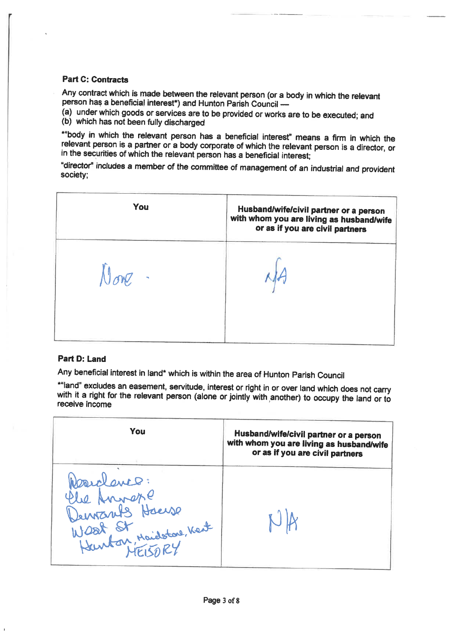#### Part C: Contracts

 $\mathbf{r}$ 

"bod<sup>y</sup> <sup>i</sup><sup>n</sup> <sup>w</sup>hic<sup>h</sup> <sup>t</sup>h<sup>e</sup> <sup>r</sup>elevan<sup>t</sup> <sup>p</sup>erso<sup>n</sup> <sup>h</sup>a<sup>s</sup> <sup>a</sup> <sup>b</sup>eneficia<sup>l</sup> <sup>i</sup>nterest" means <sup>a</sup> <sup>f</sup>ir<sup>m</sup> <sup>i</sup><sup>n</sup> <sup>w</sup>hic<sup>h</sup> <sup>t</sup>h<sup>e</sup> <sup>r</sup>elevan<sup>t</sup> <sup>p</sup>erso<sup>n</sup> <sup>i</sup><sup>s</sup> <sup>a</sup> <sup>p</sup>artne<sup>r</sup> <sup>o</sup><sup>r</sup> <sup>a</sup> <sup>b</sup>od<sup>y</sup> <sup>c</sup>orporat<sup>e</sup> <sup>o</sup><sup>f</sup> <sup>w</sup>hic<sup>h</sup> <sup>t</sup>h<sup>e</sup> <sup>r</sup>elevan<sup>t</sup> <sup>p</sup>erso<sup>n</sup> <sup>i</sup><sup>s</sup> <sup>a</sup> <sup>d</sup>irector, <sup>o</sup><sup>r</sup> <sup>i</sup><sup>n</sup> <sup>t</sup>h<sup>e</sup> securities <sup>o</sup><sup>f</sup> which <sup>t</sup>h<sup>e</sup> relevant person has <sup>a</sup> beneficial <sup>i</sup>nterest; Part C: Contracts<br>Any contract which is made between the relev<br>person has a beneficial interest<sup>\*</sup>) and Hunton<br>(a) under which goods or services are to be p<br>(b) which has not been fully discharged<br>\*"body in which the relev

|                                                                                                                                                                                                                                                                                                                     | <b>Part C: Contracts</b>                                                                                                                                               |                                                                                                                       |  |  |  |
|---------------------------------------------------------------------------------------------------------------------------------------------------------------------------------------------------------------------------------------------------------------------------------------------------------------------|------------------------------------------------------------------------------------------------------------------------------------------------------------------------|-----------------------------------------------------------------------------------------------------------------------|--|--|--|
|                                                                                                                                                                                                                                                                                                                     | Any contract which is made between the relevant person (or a body in which the relevant<br>person has a beneficial interest <sup>+</sup> ) and Hunton Parish Council - |                                                                                                                       |  |  |  |
|                                                                                                                                                                                                                                                                                                                     | (a) under which goods or services are to be provided or works are to be executed; and                                                                                  |                                                                                                                       |  |  |  |
| (b) which has not been fully discharged<br>*"body in which the relevant person has a beneficial interest" means a firm in which the<br>relevant person is a partner or a body corporate of which the relevant person is a director, or<br>in the securities of which the relevant person has a beneficial interest; |                                                                                                                                                                        |                                                                                                                       |  |  |  |
| "director" includes a member of the committee of management of an industrial and provident<br>society;                                                                                                                                                                                                              |                                                                                                                                                                        |                                                                                                                       |  |  |  |
|                                                                                                                                                                                                                                                                                                                     | You                                                                                                                                                                    | Husband/wife/civil partner or a person<br>with whom you are living as husband/wife<br>or as if you are civil partners |  |  |  |
|                                                                                                                                                                                                                                                                                                                     |                                                                                                                                                                        |                                                                                                                       |  |  |  |
|                                                                                                                                                                                                                                                                                                                     |                                                                                                                                                                        |                                                                                                                       |  |  |  |
| <b>Part D: Land</b>                                                                                                                                                                                                                                                                                                 |                                                                                                                                                                        |                                                                                                                       |  |  |  |
|                                                                                                                                                                                                                                                                                                                     | Any beneficial interest in land* which is within the area of Hunton Parish Council                                                                                     |                                                                                                                       |  |  |  |
| *"land" excludes an easement, servitude, interest or right in or over land which does not carry<br>with it a right for the relevant person (alone or jointly with another) to occupy the land or to<br>receive income                                                                                               |                                                                                                                                                                        |                                                                                                                       |  |  |  |
|                                                                                                                                                                                                                                                                                                                     | You                                                                                                                                                                    | Husband/wife/civil partner or a person<br>with whom you are living as husband/wife<br>or as if you are civil partners |  |  |  |
|                                                                                                                                                                                                                                                                                                                     |                                                                                                                                                                        |                                                                                                                       |  |  |  |

#### Part <sup>D</sup>: Land

| None.                                                                                                                                                                                                                                                                                                                              |                                                                                                                       |  |  |  |  |
|------------------------------------------------------------------------------------------------------------------------------------------------------------------------------------------------------------------------------------------------------------------------------------------------------------------------------------|-----------------------------------------------------------------------------------------------------------------------|--|--|--|--|
| <b>Part D: Land</b><br>Any beneficial interest in land* which is within the area of Hunton Parish Council<br>*"land" excludes an easement, servitude, interest or right in or over land which does not carry<br>with it a right for the relevant person (alone or jointly with another) to occupy the land or to<br>receive income |                                                                                                                       |  |  |  |  |
|                                                                                                                                                                                                                                                                                                                                    |                                                                                                                       |  |  |  |  |
| You<br>Rosidenco:<br>Elle Anivere<br>Demozrits Haerse<br>Wast St Maisston, Kent                                                                                                                                                                                                                                                    | Husband/wife/civil partner or a person<br>with whom you are living as husband/wife<br>or as if you are civil partners |  |  |  |  |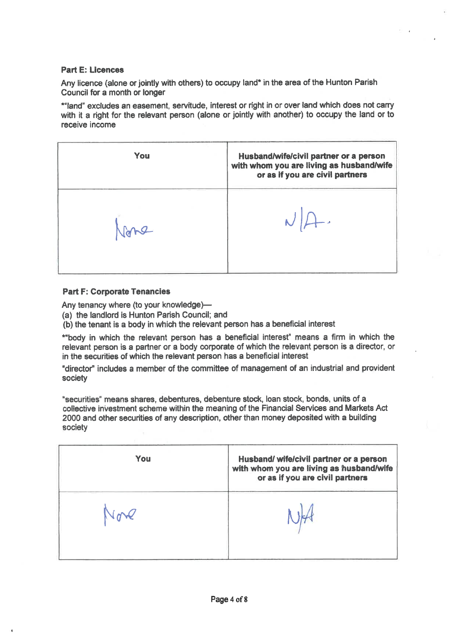#### Part <sup>E</sup>: Licences

\*"land" excludes an easement, servitude, interest <sup>o</sup><sup>r</sup> <sup>r</sup>igh<sup>t</sup> <sup>i</sup><sup>n</sup> <sup>o</sup><sup>r</sup> over land which does not carry with it a right for the relevant person (alone or jointly with another) to occupy the land or to Part E: Licences<br>Any licence (alone or jointly with others) to occ<br>Council for a month or longer<br>\*"land" excludes an easement, servitude, inten<br>with it a right for the relevant person (alone of<br>receive income receive income

| <b>Part E: Licences</b>                                                                                                                                                                                                                                                                                                                                                                                          |                                                                                                                       |  |  |  |  |  |
|------------------------------------------------------------------------------------------------------------------------------------------------------------------------------------------------------------------------------------------------------------------------------------------------------------------------------------------------------------------------------------------------------------------|-----------------------------------------------------------------------------------------------------------------------|--|--|--|--|--|
| Any licence (alone or jointly with others) to occupy land* in the area of the Hunton Parish                                                                                                                                                                                                                                                                                                                      |                                                                                                                       |  |  |  |  |  |
| Council for a month or longer                                                                                                                                                                                                                                                                                                                                                                                    |                                                                                                                       |  |  |  |  |  |
| *"land" excludes an easement, servitude, interest or right in or over land which does not carry<br>with it a right for the relevant person (alone or jointly with another) to occupy the land or to<br>receive income                                                                                                                                                                                            |                                                                                                                       |  |  |  |  |  |
| You                                                                                                                                                                                                                                                                                                                                                                                                              | Husband/wife/civil partner or a person<br>with whom you are living as husband/wife<br>or as if you are civil partners |  |  |  |  |  |
|                                                                                                                                                                                                                                                                                                                                                                                                                  |                                                                                                                       |  |  |  |  |  |
| <b>Part F: Corporate Tenancies</b><br>Any tenancy where (to your knowledge)-<br>(a) the landlord is Hunton Parish Council; and<br>(b) the tenant is a body in which the relevant person has a beneficial interest<br>*"body in which the relevant person has a beneficial interest" means a firm in which the<br>relevant person is a partner or a body corporate of which the relevant person is a director, or |                                                                                                                       |  |  |  |  |  |
|                                                                                                                                                                                                                                                                                                                                                                                                                  |                                                                                                                       |  |  |  |  |  |
| in the securities of which the relevant person has a beneficial interest<br>society                                                                                                                                                                                                                                                                                                                              | "director" includes a member of the committee of management of an industrial and provident                            |  |  |  |  |  |
| "securities" means shares, debentures, debenture stock, loan stock, bonds, units of a<br>collective investment scheme within the meaning of the Financial Services and Markets Act<br>2000 and other securities of any description, other than money deposited with a building<br>society                                                                                                                        |                                                                                                                       |  |  |  |  |  |

#### Part <sup>F</sup>: Corporate Tenancies

| You | Husband/ wife/civil partner or a person<br>with whom you are living as husband/wife<br>or as if you are civil partners |
|-----|------------------------------------------------------------------------------------------------------------------------|
|     |                                                                                                                        |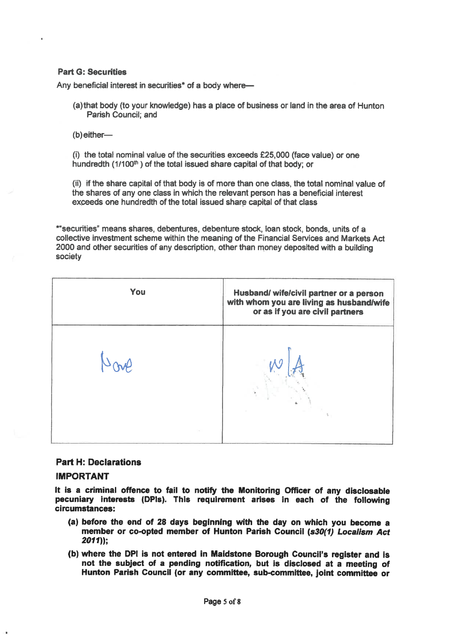#### Part G: Securities

Any beneficial <sup>i</sup>nteres<sup>t</sup> <sup>i</sup><sup>n</sup> <sup>s</sup>ecurities\* <sup>o</sup><sup>f</sup> <sup>a</sup> body where—

- (a)that body (t<sup>o</sup> your knowledge) has <sup>a</sup> place <sup>o</sup><sup>f</sup> business <sup>o</sup><sup>r</sup> land <sup>i</sup><sup>n</sup> the area <sup>o</sup><sup>f</sup> Hunton Parish Council; and
- (b) either—

(i) the <sup>t</sup>ota<sup>l</sup> nominal value <sup>o</sup><sup>f</sup> the securities exceeds £25,000 (face value) <sup>o</sup><sup>r</sup> one hundredth (1/100<sup>th</sup>) of the total issued share capital of that body; or

(ii) <sup>i</sup><sup>f</sup> the share capital <sup>o</sup><sup>f</sup> that body <sup>i</sup><sup>s</sup> <sup>o</sup><sup>f</sup> more than one class, the <sup>t</sup>ota<sup>l</sup> nominal value <sup>o</sup><sup>f</sup> the shares <sup>o</sup><sup>f</sup> any one class <sup>i</sup><sup>n</sup> which the relevant person has <sup>a</sup> beneficial interest exceeds one hundredth <sup>o</sup><sup>f</sup> the <sup>t</sup>ota<sup>l</sup> issued share capital <sup>o</sup><sup>f</sup> that class

"securities" means shares, debentures, debenture stock, loan stock, bonds, <sup>u</sup>nit<sup>s</sup> <sup>o</sup><sup>f</sup> <sup>a</sup> collective investment scheme within the meaning <sup>o</sup><sup>f</sup> the Financial Services and Markets Act 2000 and other securities <sup>o</sup><sup>f</sup> any description, other than money deposited with <sup>a</sup> building Part G: Securities<br>
Any beneficial interest in securities\* of a body<br>
(a) that body (to your knowledge) has a pl<br>
Parish Council; and<br>
(b) either—<br>
(i) the total nominal value of the securities<br>
hundredth  $(1/100^{\text{th}})$  society

You **Husband/** wife/civil partner or a person <sup>w</sup>it<sup>h</sup> whom you <sup>a</sup>r<sup>e</sup> <sup>l</sup>ivin<sup>g</sup> <sup>a</sup><sup>s</sup> husband/wife Part G: Securities<br>
Any beneficial interest in securities\* of a body<br>
(a) that body (to your knowledge) has a pl:<br>
Parish Council; and<br>
(b) either—<br>
(i) the total nominal value of the securities<br>
hundredth  $(1/100^n)$  of t or as <sup>i</sup><sup>f</sup> you are civil partners <sup>b</sup>o<sup>w</sup> <sup>w</sup>|<sup>A</sup> (a) that body (to your knowledge) has a precise Parish Council; and<br>
(b) either—<br>
(i) the total nominal value of the securitie<br>
fundredth (1/100<sup>th</sup>) of the total issued sha<br>
(ii) if the share capital of that body is of m J

#### Part <sup>H</sup>: Declarations

#### IMPORTANT

<sup>i</sup><sup>t</sup> <sup>i</sup><sup>s</sup> <sup>a</sup> criminal offence <sup>t</sup><sup>o</sup> <sup>f</sup>ai<sup>l</sup> <sup>t</sup><sup>o</sup> notify the Monitoring Officer of any disclosable pecuniary interests (DPls). This requirement arises <sup>i</sup><sup>n</sup> each <sup>o</sup><sup>f</sup> the following circumstances:

- (a) before the end <sup>o</sup><sup>f</sup> <sup>2</sup><sup>8</sup> days beginning with <sup>t</sup>h<sup>e</sup> day on which you become <sup>a</sup> member <sup>o</sup><sup>r</sup> co-opted member <sup>o</sup><sup>f</sup> Hunton Parish Council (s30(1) Localism Act 2011));
- (b) where <sup>t</sup>h<sup>e</sup> DPI <sup>i</sup><sup>s</sup> not entered <sup>i</sup><sup>n</sup> Maidstone Borough Council's register and <sup>i</sup><sup>s</sup> not the subject <sup>o</sup><sup>f</sup> <sup>a</sup> pending notification, but <sup>i</sup><sup>s</sup> disclosed <sup>a</sup><sup>t</sup> <sup>a</sup> meeting <sup>o</sup><sup>f</sup> Hunton Parish Council (o<sup>r</sup> any committee, sub-committee, joint committee <sup>o</sup><sup>r</sup>